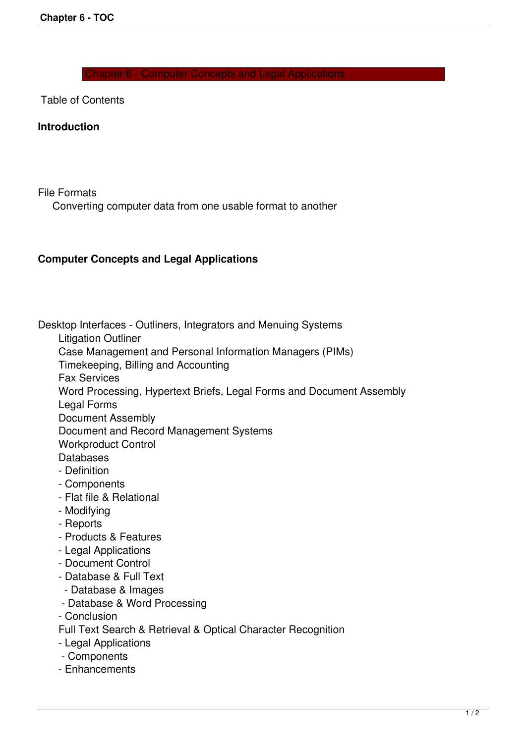Chapter 6 - Computer Concepts and Legal Applications

Table of Contents

## **Introduction**

File Formats

Converting computer data from one usable format to another

## **Computer Concepts and Legal Applications**

Desktop Interfaces - Outliners, Integrators and Menuing Systems

Litigation Outliner

Case Management and Personal Information Managers (PIMs)

Timekeeping, Billing and Accounting

Fax Services

Word Processing, Hypertext Briefs, Legal Forms and Document Assembly

Legal Forms

Document Assembly

Document and Record Management Systems

Workproduct Control

**Databases** 

- Definition
- Components
- Flat file & Relational
- Modifying
- Reports
- Products & Features
- Legal Applications
- Document Control
- Database & Full Text
- Database & Images
- Database & Word Processing

- Conclusion

Full Text Search & Retrieval & Optical Character Recognition

- Legal Applications
- Components
- Enhancements